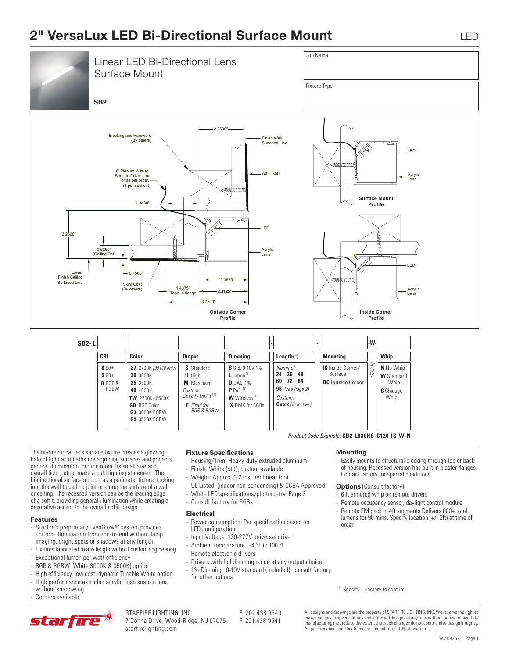# **2" VersaLux LED Bi-Directional Surface Mount** LED



The bi-directional lens surface fixture creates a glowing halo of light as it baths the adjoining surfaces and projects general illumination into the room. Its small size and overall light output make a bold lighting statement. The bi-directional surface mounts as a perimeter fixture, tucking into the wall to ceiling joint or along the surface of a wall or ceiling. The recessed version can be the leading edge of a soffit, providing general illumination while creating a decorative accent to the overall soffit design.

#### **Features**

- Starfire's proprietary EvenGlow™ system provides uniform illumination from end-to-end without lamp imaging, bright spots or shadows at any length
- Fixtures fabricated to any length without custom engineering
- Exceptional lumen per watt efficiency
- RGB & RGBW (White 3000K & 3500K) option
- High efficiency, low cost, dynamic Tunable White option - High performance extruded acrylic flush snap-in lens
- without shadowing
- Corners available

### **Fixture Specifications**

- Housing/Trim: Heavy-duty extruded aluminum
- Finish: White (std), custom available
- Weight: Approx. 3.2 lbs. per linear foot
- UL Listed, (indoor non-condensing) & CCEA Approved
- White LED specifications/photometry: Page 2
- Consult factory for RGBs

### **Electrical**

- Power consumption: Per specification based on LED configuration
- Input Voltage: 120-277V universal driver
- Ambient temperature: -4 °F to 100 °F
- Remote electronic drivers
- Drivers with full dimming range at any output choice
- 1% Dimming: 0-10V standard (included), consult factory for other options

#### **Mounting**

*Product Code Example:* **SB2-L830HS-C120-IS-W-N**

- Easily mounts to structural blocking through top or back of housing. Recessed version has built in plaster flanges. Contact factory for special conditions.

#### **Options** (Consult factory)

- 6 ft armored whip on remote drivers
- Remote occupancy sensor, daylight control module
- Remote EM pack in 4ft segments Delivers 800+ total lumens for 90 mins. Specify location (+/- 2ft) at time of order

(1) Specify – Factory to confirm



STARFIRE LIGHTING, INC.<br>7 Donna Drive, Wood-Ridge, NJ 07075 F 201.438.9541 7 Donna Drive, Wood-Ridge, NJ 07075 starfirelighting.com

All designs and drawings are the property of STARFIRE LIGHTING, INC. We reserve the right to make changes to specifications and approved designs at any time without notice to facilitate manufacturing methods to the extent that such changes do not compromise design integrity. All performance specifications are subject to +/- 10% deviation.